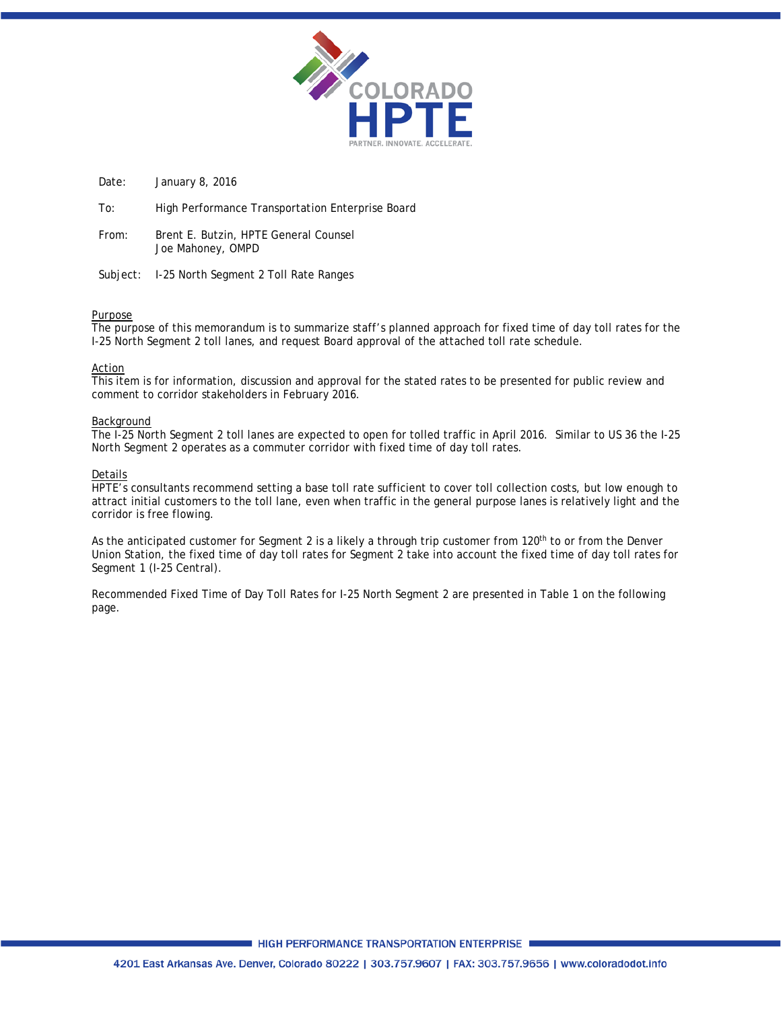

Date: January 8, 2016

To: High Performance Transportation Enterprise Board

From: Brent E. Butzin, HPTE General Counsel Joe Mahoney, OMPD

Subject: I-25 North Segment 2 Toll Rate Ranges

### Purpose

The purpose of this memorandum is to summarize staff's planned approach for fixed time of day toll rates for the I-25 North Segment 2 toll lanes, and request Board approval of the attached toll rate schedule.

### Action

This item is for information, discussion and approval for the stated rates to be presented for public review and comment to corridor stakeholders in February 2016.

### Background

The I-25 North Segment 2 toll lanes are expected to open for tolled traffic in April 2016. Similar to US 36 the I-25 North Segment 2 operates as a commuter corridor with fixed time of day toll rates.

### Details

HPTE's consultants recommend setting a base toll rate sufficient to cover toll collection costs, but low enough to attract initial customers to the toll lane, even when traffic in the general purpose lanes is relatively light and the corridor is free flowing.

As the anticipated customer for Segment 2 is a likely a through trip customer from 120<sup>th</sup> to or from the Denver Union Station, the fixed time of day toll rates for Segment 2 take into account the fixed time of day toll rates for Segment 1 (I-25 Central).

Recommended Fixed Time of Day Toll Rates for I-25 North Segment 2 are presented in Table 1 on the following page.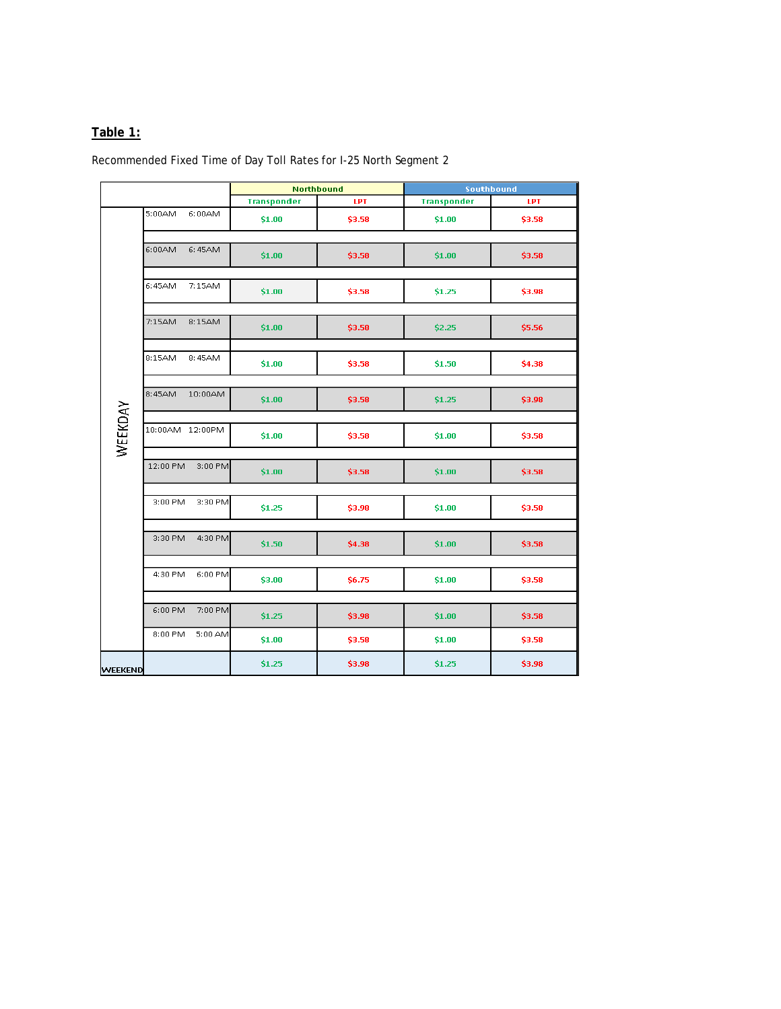### **Table 1:**

Recommended Fixed Time of Day Toll Rates for I-25 North Segment 2

|                |                     | <b>Northbound</b>  |        | Southbound         |        |
|----------------|---------------------|--------------------|--------|--------------------|--------|
|                |                     | <b>Transponder</b> | LPT    | <b>Transponder</b> | LPT    |
| WEEKDAY        | 5:00AM<br>6:00AM    | \$1.00             | \$3.58 | \$1.00             | \$3.58 |
|                | 6:00AM<br>6:45AM    | \$1.00             | \$3.58 | \$1.00             | \$3.58 |
|                | 6:45AM<br>7:15AM    | \$1.00             | \$3.58 | \$1.25             | \$3.98 |
|                | 7:15AM<br>8:15AM    | \$1.00             | \$3.58 | \$2.25             | \$5.56 |
|                | 8:15AM<br>8:45AM    | \$1.00             | \$3.58 | \$1.50             | \$4.38 |
|                | 8:45AM<br>10:00AM   | \$1.00             | \$3.58 | \$1.25             | \$3.98 |
|                | 10:00AM 12:00PM     | \$1.00             | \$3.58 | \$1.00             | \$3.58 |
|                | 12:00 PM<br>3:00 PM | \$1.00             | \$3.58 | \$1.00             | \$3.58 |
|                | 3:00 PM<br>3:30 PM  | \$1.25             | \$3.98 | \$1.00             | \$3.58 |
|                | 3:30 PM<br>4:30 PM  | \$1.50             | \$4.38 | \$1.00             | \$3.58 |
|                | 4:30 PM<br>6:00 PM  | \$3.00             | \$6.75 | \$1.00             | \$3.58 |
|                | 6:00 PM<br>7:00 PM  | \$1.25             | \$3.98 | \$1.00             | \$3.58 |
|                | 8:00 PM<br>5:00 AM  | \$1.00             | \$3.58 | \$1.00             | \$3.58 |
| <b>WEEKEND</b> |                     | \$1.25             | \$3.98 | \$1.25             | \$3.98 |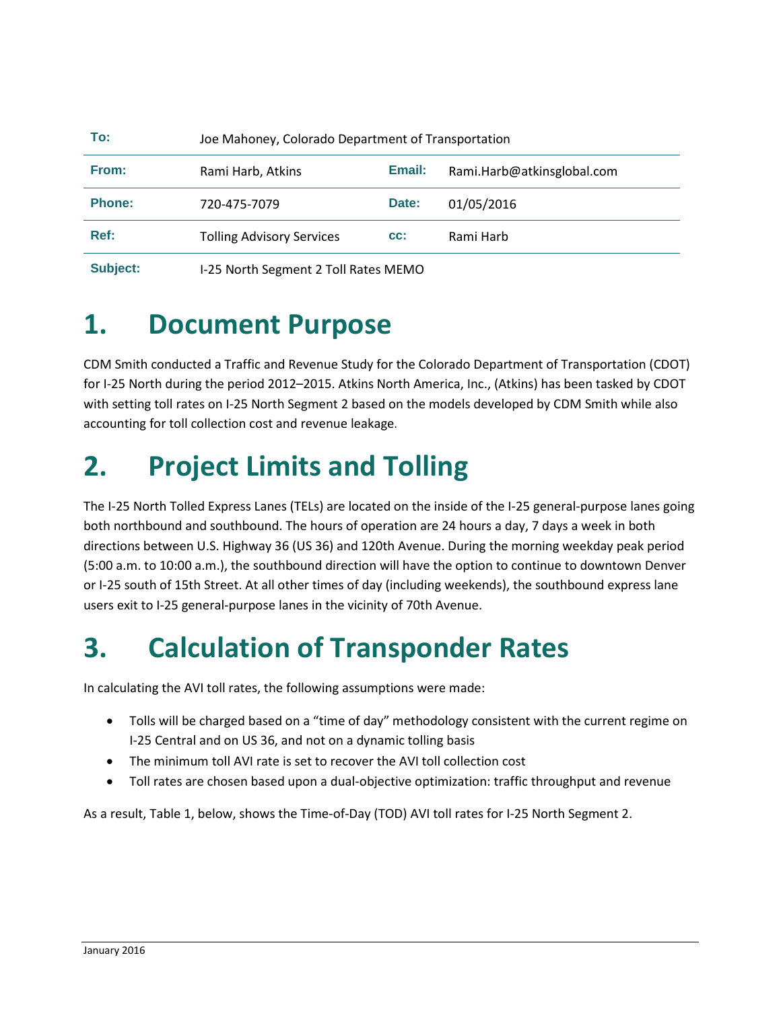| To:                                      | Joe Mahoney, Colorado Department of Transportation |       |                            |  |  |
|------------------------------------------|----------------------------------------------------|-------|----------------------------|--|--|
| From:                                    | Email:<br>Rami Harb, Atkins                        |       | Rami.Harb@atkinsglobal.com |  |  |
| <b>Phone:</b>                            | 720-475-7079                                       | Date: | 01/05/2016                 |  |  |
| Ref:<br><b>Tolling Advisory Services</b> |                                                    | CC:   | Rami Harb                  |  |  |
| Subject:                                 | I-25 North Segment 2 Toll Rates MEMO               |       |                            |  |  |

## **1. Document Purpose**

CDM Smith conducted a Traffic and Revenue Study for the Colorado Department of Transportation (CDOT) for I-25 North during the period 2012–2015. Atkins North America, Inc., (Atkins) has been tasked by CDOT with setting toll rates on I-25 North Segment 2 based on the models developed by CDM Smith while also accounting for toll collection cost and revenue leakage.

## **2. Project Limits and Tolling**

The I-25 North Tolled Express Lanes (TELs) are located on the inside of the I-25 general-purpose lanes going both northbound and southbound. The hours of operation are 24 hours a day, 7 days a week in both directions between U.S. Highway 36 (US 36) and 120th Avenue. During the morning weekday peak period (5:00 a.m. to 10:00 a.m.), the southbound direction will have the option to continue to downtown Denver or I-25 south of 15th Street. At all other times of day (including weekends), the southbound express lane users exit to I-25 general-purpose lanes in the vicinity of 70th Avenue.

## **3. Calculation of Transponder Rates**

In calculating the AVI toll rates, the following assumptions were made:

- Tolls will be charged based on a "time of day" methodology consistent with the current regime on I-25 Central and on US 36, and not on a dynamic tolling basis
- The minimum toll AVI rate is set to recover the AVI toll collection cost
- Toll rates are chosen based upon a dual-objective optimization: traffic throughput and revenue

As a result, Table 1, below, shows the Time-of-Day (TOD) AVI toll rates for I-25 North Segment 2.